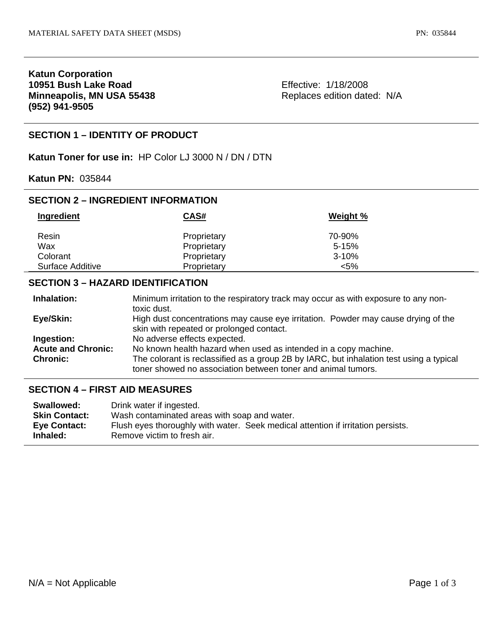# **Katun Corporation 10951 Bush Lake Road Minneapolis, MN USA 55438 (952) 941-9505**

Effective: 1/18/2008 Replaces edition dated: N/A

# **SECTION 1 – IDENTITY OF PRODUCT**

**Katun Toner for use in:** HP Color LJ 3000 N / DN / DTN

**Katun PN:** 035844

# **SECTION 2 – INGREDIENT INFORMATION**

| Ingredient       | <b>CAS#</b> | Weight %  |  |
|------------------|-------------|-----------|--|
|                  |             |           |  |
| Resin            | Proprietary | 70-90%    |  |
| Wax              | Proprietary | $5-15%$   |  |
| Colorant         | Proprietary | $3 - 10%$ |  |
| Surface Additive | Proprietary | $< 5\%$   |  |

## **SECTION 3 – HAZARD IDENTIFICATION**

| Inhalation:               | Minimum irritation to the respiratory track may occur as with exposure to any non-                                                                      |
|---------------------------|---------------------------------------------------------------------------------------------------------------------------------------------------------|
|                           | toxic dust.                                                                                                                                             |
| Eye/Skin:                 | High dust concentrations may cause eye irritation. Powder may cause drying of the                                                                       |
|                           | skin with repeated or prolonged contact.                                                                                                                |
| Ingestion:                | No adverse effects expected.                                                                                                                            |
| <b>Acute and Chronic:</b> | No known health hazard when used as intended in a copy machine.                                                                                         |
| <b>Chronic:</b>           | The colorant is reclassified as a group 2B by IARC, but inhalation test using a typical<br>toner showed no association between toner and animal tumors. |

## **SECTION 4 – FIRST AID MEASURES**

| Swallowed:           | Drink water if ingested.                                                         |
|----------------------|----------------------------------------------------------------------------------|
| <b>Skin Contact:</b> | Wash contaminated areas with soap and water.                                     |
| Eye Contact:         | Flush eyes thoroughly with water. Seek medical attention if irritation persists. |
| Inhaled:             | Remove victim to fresh air.                                                      |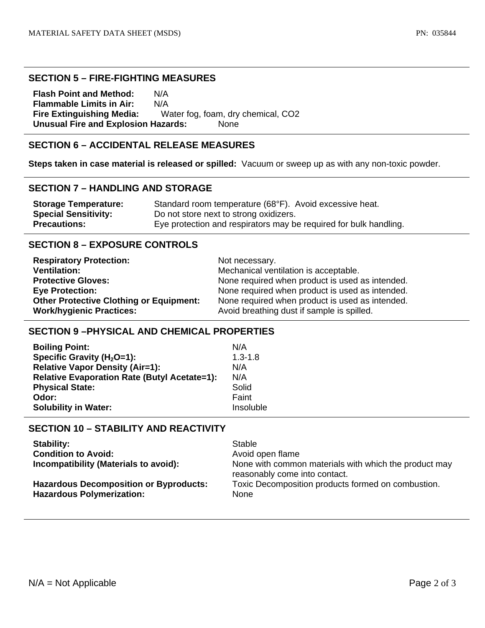#### **SECTION 5 – FIRE-FIGHTING MEASURES**

**Flash Point and Method:** N/A **Flammable Limits in Air:** N/A **Fire Extinguishing Media:** Water fog, foam, dry chemical, CO2 **Unusual Fire and Explosion Hazards:** None

# **SECTION 6 – ACCIDENTAL RELEASE MEASURES**

**Steps taken in case material is released or spilled:** Vacuum or sweep up as with any non-toxic powder.

#### **SECTION 7 – HANDLING AND STORAGE**

| <b>Storage Temperature:</b> | Standard room temperature (68°F). Avoid excessive heat.           |
|-----------------------------|-------------------------------------------------------------------|
| <b>Special Sensitivity:</b> | Do not store next to strong oxidizers.                            |
| <b>Precautions:</b>         | Eye protection and respirators may be required for bulk handling. |

## **SECTION 8 – EXPOSURE CONTROLS**

| <b>Respiratory Protection:</b>                 | Not necessary.                                  |
|------------------------------------------------|-------------------------------------------------|
| <b>Ventilation:</b>                            | Mechanical ventilation is acceptable.           |
| <b>Protective Gloves:</b>                      | None required when product is used as intended. |
| <b>Eye Protection:</b>                         | None required when product is used as intended. |
| <b>Other Protective Clothing or Equipment:</b> | None required when product is used as intended. |
| <b>Work/hygienic Practices:</b>                | Avoid breathing dust if sample is spilled.      |

#### **SECTION 9 –PHYSICAL AND CHEMICAL PROPERTIES**

| <b>Boiling Point:</b>                               | N/A         |
|-----------------------------------------------------|-------------|
| Specific Gravity ( $H_2O=1$ ):                      | $1.3 - 1.8$ |
| <b>Relative Vapor Density (Air=1):</b>              | N/A         |
| <b>Relative Evaporation Rate (Butyl Acetate=1):</b> | N/A         |
| <b>Physical State:</b>                              | Solid       |
| Odor:                                               | Faint       |
| <b>Solubility in Water:</b>                         | Insoluble   |

# **SECTION 10 – STABILITY AND REACTIVITY**

| <b>Stability:</b>                                                                 | Stable                                                                                 |
|-----------------------------------------------------------------------------------|----------------------------------------------------------------------------------------|
| <b>Condition to Avoid:</b>                                                        | Avoid open flame                                                                       |
| Incompatibility (Materials to avoid):                                             | None with common materials with which the product may<br>reasonably come into contact. |
| <b>Hazardous Decomposition or Byproducts:</b><br><b>Hazardous Polymerization:</b> | Toxic Decomposition products formed on combustion.<br><b>None</b>                      |